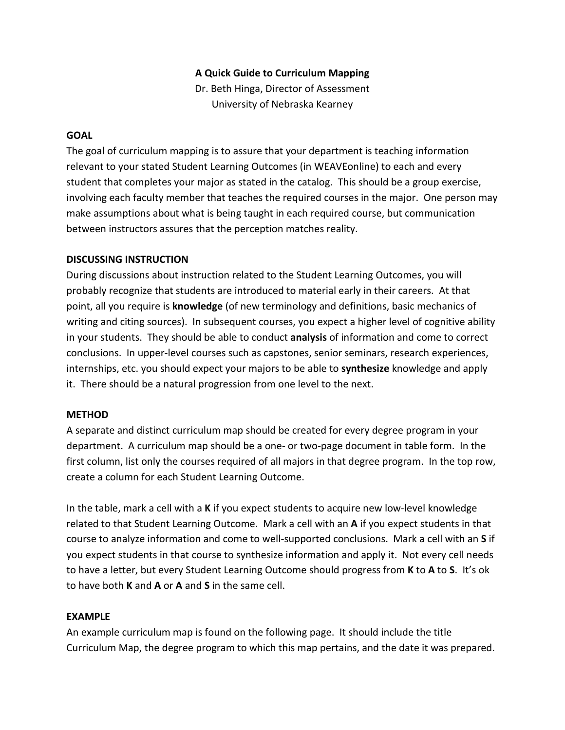## **A Quick Guide to Curriculum Mapping**

Dr. Beth Hinga, Director of Assessment University of Nebraska Kearney

#### **GOAL**

The goal of curriculum mapping is to assure that your department is teaching information relevant to your stated Student Learning Outcomes (in WEAVEonline) to each and every student that completes your major as stated in the catalog. This should be a group exercise, involving each faculty member that teaches the required courses in the major. One person may make assumptions about what is being taught in each required course, but communication between instructors assures that the perception matches reality.

#### **DISCUSSING INSTRUCTION**

During discussions about instruction related to the Student Learning Outcomes, you will probably recognize that students are introduced to material early in their careers. At that point, all you require is **knowledge** (of new terminology and definitions, basic mechanics of writing and citing sources). In subsequent courses, you expect a higher level of cognitive ability in your students. They should be able to conduct **analysis** of information and come to correct conclusions. In upper-level courses such as capstones, senior seminars, research experiences, internships, etc. you should expect your majors to be able to **synthesize** knowledge and apply it. There should be a natural progression from one level to the next.

## **METHOD**

A separate and distinct curriculum map should be created for every degree program in your department. A curriculum map should be a one- or two-page document in table form. In the first column, list only the courses required of all majors in that degree program. In the top row, create a column for each Student Learning Outcome.

In the table, mark a cell with a **K** if you expect students to acquire new low-level knowledge related to that Student Learning Outcome. Mark a cell with an **A** if you expect students in that course to analyze information and come to well-supported conclusions. Mark a cell with an **S** if you expect students in that course to synthesize information and apply it. Not every cell needs to have a letter, but every Student Learning Outcome should progress from **K** to **A** to **S**. It's ok to have both **K** and **A** or **A** and **S** in the same cell.

## **EXAMPLE**

An example curriculum map is found on the following page. It should include the title Curriculum Map, the degree program to which this map pertains, and the date it was prepared.